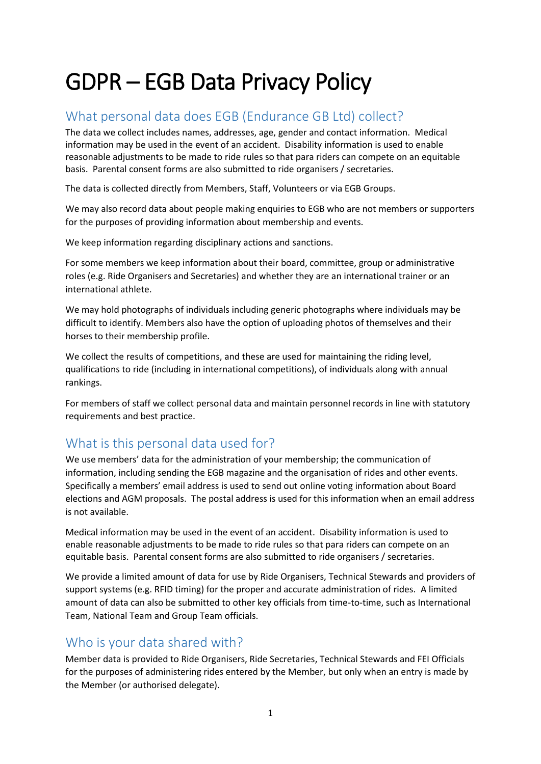# GDPR – EGB Data Privacy Policy

# What personal data does EGB (Endurance GB Ltd) collect?

The data we collect includes names, addresses, age, gender and contact information. Medical information may be used in the event of an accident. Disability information is used to enable reasonable adjustments to be made to ride rules so that para riders can compete on an equitable basis. Parental consent forms are also submitted to ride organisers / secretaries.

The data is collected directly from Members, Staff, Volunteers or via EGB Groups.

We may also record data about people making enquiries to EGB who are not members or supporters for the purposes of providing information about membership and events.

We keep information regarding disciplinary actions and sanctions.

For some members we keep information about their board, committee, group or administrative roles (e.g. Ride Organisers and Secretaries) and whether they are an international trainer or an international athlete.

We may hold photographs of individuals including generic photographs where individuals may be difficult to identify. Members also have the option of uploading photos of themselves and their horses to their membership profile.

We collect the results of competitions, and these are used for maintaining the riding level, qualifications to ride (including in international competitions), of individuals along with annual rankings.

For members of staff we collect personal data and maintain personnel records in line with statutory requirements and best practice.

# What is this personal data used for?

We use members' data for the administration of your membership; the communication of information, including sending the EGB magazine and the organisation of rides and other events. Specifically a members' email address is used to send out online voting information about Board elections and AGM proposals. The postal address is used for this information when an email address is not available.

Medical information may be used in the event of an accident. Disability information is used to enable reasonable adjustments to be made to ride rules so that para riders can compete on an equitable basis. Parental consent forms are also submitted to ride organisers / secretaries.

We provide a limited amount of data for use by Ride Organisers, Technical Stewards and providers of support systems (e.g. RFID timing) for the proper and accurate administration of rides. A limited amount of data can also be submitted to other key officials from time-to-time, such as International Team, National Team and Group Team officials.

# Who is your data shared with?

Member data is provided to Ride Organisers, Ride Secretaries, Technical Stewards and FEI Officials for the purposes of administering rides entered by the Member, but only when an entry is made by the Member (or authorised delegate).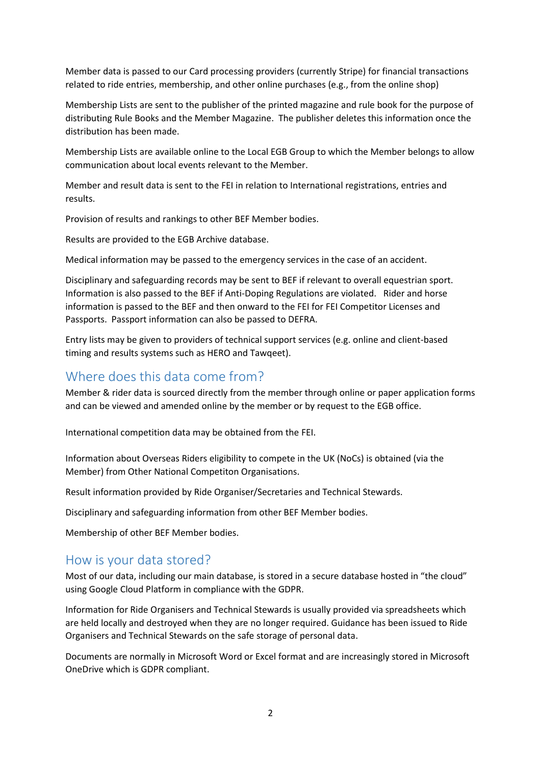Member data is passed to our Card processing providers (currently Stripe) for financial transactions related to ride entries, membership, and other online purchases (e.g., from the online shop)

Membership Lists are sent to the publisher of the printed magazine and rule book for the purpose of distributing Rule Books and the Member Magazine. The publisher deletes this information once the distribution has been made.

Membership Lists are available online to the Local EGB Group to which the Member belongs to allow communication about local events relevant to the Member.

Member and result data is sent to the FEI in relation to International registrations, entries and results.

Provision of results and rankings to other BEF Member bodies.

Results are provided to the EGB Archive database.

Medical information may be passed to the emergency services in the case of an accident.

Disciplinary and safeguarding records may be sent to BEF if relevant to overall equestrian sport. Information is also passed to the BEF if Anti-Doping Regulations are violated. Rider and horse information is passed to the BEF and then onward to the FEI for FEI Competitor Licenses and Passports. Passport information can also be passed to DEFRA.

Entry lists may be given to providers of technical support services (e.g. online and client-based timing and results systems such as HERO and Tawqeet).

#### Where does this data come from?

Member & rider data is sourced directly from the member through online or paper application forms and can be viewed and amended online by the member or by request to the EGB office.

International competition data may be obtained from the FEI.

Information about Overseas Riders eligibility to compete in the UK (NoCs) is obtained (via the Member) from Other National Competiton Organisations.

Result information provided by Ride Organiser/Secretaries and Technical Stewards.

Disciplinary and safeguarding information from other BEF Member bodies.

Membership of other BEF Member bodies.

#### How is your data stored?

Most of our data, including our main database, is stored in a secure database hosted in "the cloud" using Google Cloud Platform in compliance with the GDPR.

Information for Ride Organisers and Technical Stewards is usually provided via spreadsheets which are held locally and destroyed when they are no longer required. Guidance has been issued to Ride Organisers and Technical Stewards on the safe storage of personal data.

Documents are normally in Microsoft Word or Excel format and are increasingly stored in Microsoft OneDrive which is GDPR compliant.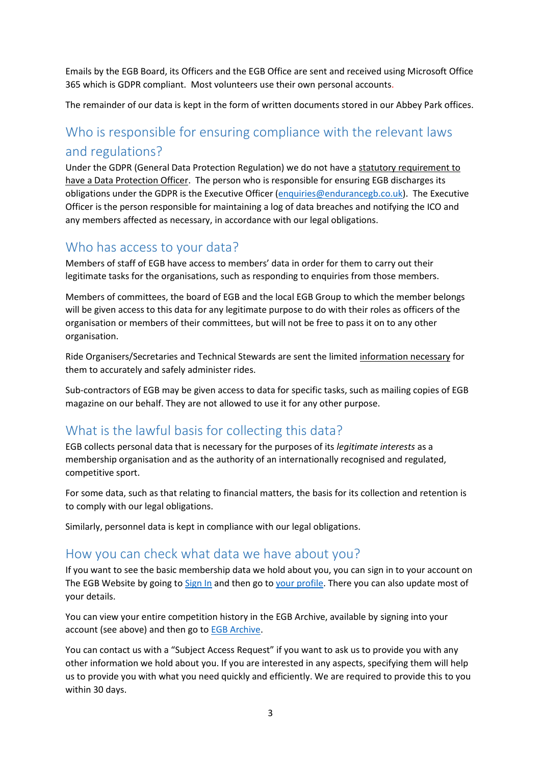Emails by the EGB Board, its Officers and the EGB Office are sent and received using Microsoft Office 365 which is GDPR compliant. Most volunteers use their own personal accounts.

The remainder of our data is kept in the form of written documents stored in our Abbey Park offices.

# Who is responsible for ensuring compliance with the relevant laws and regulations?

Under the GDPR (General Data Protection Regulation) we do not have a [statutory requirement to](https://ico.org.uk/for-organisations/guide-to-the-general-data-protection-regulation-gdpr/accountability-and-governance/data-protection-officers/)  [have a Data Protection Officer.](https://ico.org.uk/for-organisations/guide-to-the-general-data-protection-regulation-gdpr/accountability-and-governance/data-protection-officers/) The person who is responsible for ensuring EGB discharges its obligations under the GDPR is the Executive Officer [\(enquiries@endurancegb.co.uk\)](mailto:enquiries@endurancegb.co.uk). The Executive Officer is the person responsible for maintaining a log of data breaches and notifying the ICO and any members affected as necessary, in accordance with our legal obligations.

# Who has access to your data?

Members of staff of EGB have access to members' data in order for them to carry out their legitimate tasks for the organisations, such as responding to enquiries from those members.

Members of committees, the board of EGB and the local EGB Group to which the member belongs will be given access to this data for any legitimate purpose to do with their roles as officers of the organisation or members of their committees, but will not be free to pass it on to any other organisation.

Ride Organisers/Secretaries and Technical Stewards are sent the limited [information necessary](http://www.ebu.co.uk/gdpr/privacy-policy#shared) for them to accurately and safely administer rides.

Sub-contractors of EGB may be given access to data for specific tasks, such as mailing copies of EGB magazine on our behalf. They are not allowed to use it for any other purpose.

# What is the lawful basis for collecting this data?

EGB collects personal data that is necessary for the purposes of its *legitimate interests* as a membership organisation and as the authority of an internationally recognised and regulated, competitive sport.

For some data, such as that relating to financial matters, the basis for its collection and retention is to comply with our legal obligations.

Similarly, personnel data is kept in compliance with our legal obligations.

#### How you can check what data we have about you?

If you want to see the basic membership data we hold about you, you can sign in to your account on The EGB Website by going t[o Sign In](https://egb.myclubhouse.co.uk/SignIn?returnUrl=/) and then go t[o your profile.](https://egb.myclubhouse.co.uk/UserPage) There you can also update most of your details.

You can view your entire competition history in the EGB Archive, available by signing into your account (see above) and then go to **EGB Archive**.

You can contact us with a "Subject Access Request" if you want to ask us to provide you with any other information we hold about you. If you are interested in any aspects, specifying them will help us to provide you with what you need quickly and efficiently. We are required to provide this to you within 30 days.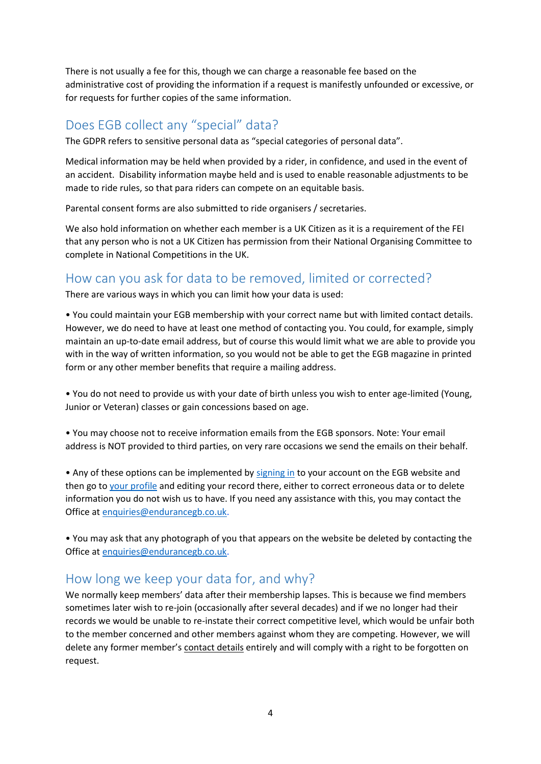There is not usually a fee for this, though we can charge a reasonable fee based on the administrative cost of providing the information if a request is manifestly unfounded or excessive, or for requests for further copies of the same information.

#### Does EGB collect any "special" data?

The GDPR refers to sensitive personal data as "special categories of personal data".

Medical information may be held when provided by a rider, in confidence, and used in the event of an accident. Disability information maybe held and is used to enable reasonable adjustments to be made to ride rules, so that para riders can compete on an equitable basis.

Parental consent forms are also submitted to ride organisers / secretaries.

We also hold information on whether each member is a UK Citizen as it is a requirement of the FEI that any person who is not a UK Citizen has permission from their National Organising Committee to complete in National Competitions in the UK.

#### How can you ask for data to be removed, limited or corrected?

There are various ways in which you can limit how your data is used:

• You could maintain your EGB membership with your correct name but with limited contact details. However, we do need to have at least one method of contacting you. You could, for example, simply maintain an up-to-date email address, but of course this would limit what we are able to provide you with in the way of written information, so you would not be able to get the EGB magazine in printed form or any other member benefits that require a mailing address.

• You do not need to provide us with your date of birth unless you wish to enter age-limited (Young, Junior or Veteran) classes or gain concessions based on age.

• You may choose not to receive information emails from the EGB sponsors. Note: Your email address is NOT provided to third parties, on very rare occasions we send the emails on their behalf.

• Any of these options can be implemented by [signing in](https://egb.myclubhouse.co.uk/SignIn?returnUrl=/) to your account on the EGB website and then go t[o your profile](https://egb.myclubhouse.co.uk/UserPage) and editing your record there, either to correct erroneous data or to delete information you do not wish us to have. If you need any assistance with this, you may contact the Office a[t enquiries@endurancegb.co.uk.](mailto:enquiries@endurancegb.co.uk)

• You may ask that any photograph of you that appears on the website be deleted by contacting the Office a[t enquiries@endurancegb.co.uk.](mailto:enquiries@endurancegb.co.uk)

#### How long we keep your data for, and why?

We normally keep members' data after their membership lapses. This is because we find members sometimes later wish to re-join (occasionally after several decades) and if we no longer had their records we would be unable to re-instate their correct competitive level, which would be unfair both to the member concerned and other members against whom they are competing. However, we will delete any former member's contact details entirely and will comply with a right to be forgotten on request.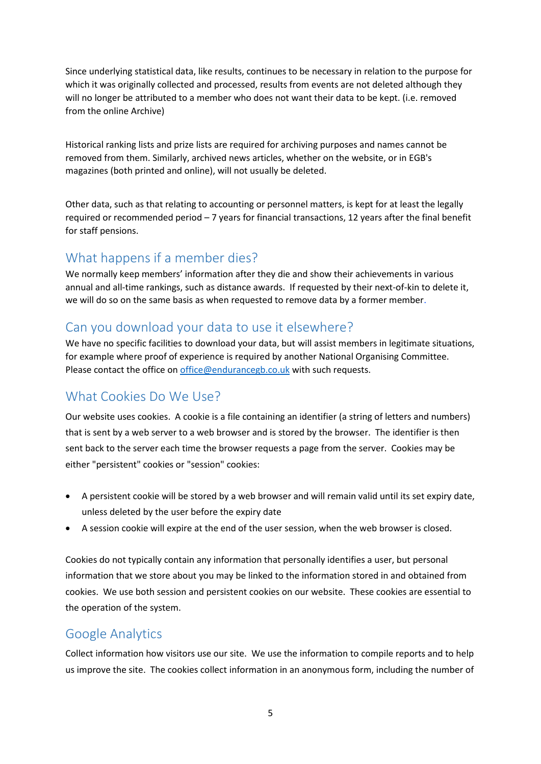Since underlying statistical data, like results, continues to be necessary in relation to the purpose for which it was originally collected and processed, results from events are not deleted although they will no longer be attributed to a member who does not want their data to be kept. (i.e. removed from the online Archive)

Historical ranking lists and prize lists are required for archiving purposes and names cannot be removed from them. Similarly, archived news articles, whether on the website, or in EGB's magazines (both printed and online), will not usually be deleted.

Other data, such as that relating to accounting or personnel matters, is kept for at least the legally required or recommended period – 7 years for financial transactions, 12 years after the final benefit for staff pensions.

### What happens if a member dies?

We normally keep members' information after they die and show their achievements in various annual and all-time rankings, such as distance awards. If requested by their next-of-kin to delete it, we will do so on the same basis as [when requested to remove data by a former member.](http://www.ebu.co.uk/gdpr/privacy-policy#howlong)

# Can you download your data to use it elsewhere?

We have no specific facilities to download your data, but will assist members in legitimate situations, for example where proof of experience is required by another National Organising Committee. Please contact the office on [office@endurancegb.co.uk](mailto:office@endurancegb.co.uk) with such requests.

# What Cookies Do We Use?

Our website uses cookies. A cookie is a file containing an identifier (a string of letters and numbers) that is sent by a web server to a web browser and is stored by the browser. The identifier is then sent back to the server each time the browser requests a page from the server. Cookies may be either "persistent" cookies or "session" cookies:

- A persistent cookie will be stored by a web browser and will remain valid until its set expiry date, unless deleted by the user before the expiry date
- A session cookie will expire at the end of the user session, when the web browser is closed.

Cookies do not typically contain any information that personally identifies a user, but personal information that we store about you may be linked to the information stored in and obtained from cookies. We use both session and persistent cookies on our website. These cookies are essential to the operation of the system.

#### Google Analytics

Collect information how visitors use our site. We use the information to compile reports and to help us improve the site. The cookies collect information in an anonymous form, including the number of